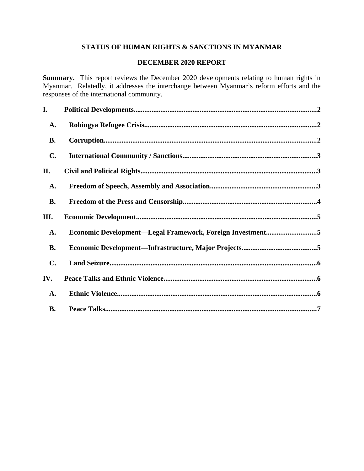# **STATUS OF HUMAN RIGHTS & SANCTIONS IN MYANMAR**

# **DECEMBER 2020 REPORT**

**Summary.** This report reviews the December 2020 developments relating to human rights in Myanmar. Relatedly, it addresses the interchange between Myanmar's reform efforts and the responses of the international community.

| I.             |                                                           |  |
|----------------|-----------------------------------------------------------|--|
| <b>A.</b>      |                                                           |  |
| <b>B.</b>      |                                                           |  |
| $\mathbf{C}$ . |                                                           |  |
| II.            |                                                           |  |
| <b>A.</b>      |                                                           |  |
| <b>B.</b>      |                                                           |  |
| III.           |                                                           |  |
| <b>A.</b>      | Economic Development-Legal Framework, Foreign Investment5 |  |
| <b>B.</b>      |                                                           |  |
| $\mathbf{C}$ . |                                                           |  |
| IV.            |                                                           |  |
| <b>A.</b>      |                                                           |  |
| <b>B.</b>      |                                                           |  |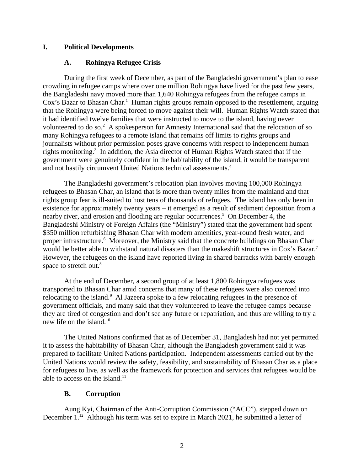### **I. Political Developments**

### <span id="page-1-2"></span><span id="page-1-0"></span>**A. Rohingya Refugee Crisis**

During the first week of December, as part of the Bangladeshi government's plan to ease crowding in refugee camps where over one million Rohingya have lived for the past few years, the Bangladeshi navy moved more than 1,640 Rohingya refugees from the refugee camps in Cox's Bazar to Bhasan Char.<sup>1</sup> Human rights groups remain opposed to the resettlement, arguing that the Rohingya were being forced to move against their will. Human Rights Watch stated that it had identified twelve families that were instructed to move to the island, having never volunteered to do so. $2$  A spokesperson for Amnesty International said that the relocation of so many Rohingya refugees to a remote island that remains off limits to rights groups and journalists without prior permission poses grave concerns with respect to independent human rights monitoring.<sup>3</sup> In addition, the Asia director of Human Rights Watch stated that if the government were genuinely confident in the habitability of the island, it would be transparent and not hastily circumvent United Nations technical assessments.<sup>4</sup>

The Bangladeshi government's relocation plan involves moving 100,000 Rohingya refugees to Bhasan Char, an island that is more than twenty miles from the mainland and that rights group fear is ill-suited to host tens of thousands of refugees. The island has only been in existence for approximately twenty years – it emerged as a result of sediment deposition from a nearby river, and erosion and flooding are regular occurrences.<sup>5</sup> On December 4, the Bangladeshi Ministry of Foreign Affairs (the "Ministry") stated that the government had spent \$350 million refurbishing Bhasan Char with modern amenities, year-round fresh water, and proper infrastructure.<sup>6</sup> Moreover, the Ministry said that the concrete buildings on Bhasan Char would be better able to withstand natural disasters than the makeshift structures in Cox's Bazar.<sup>7</sup> However, the refugees on the island have reported living in shared barracks with barely enough space to stretch out.<sup>8</sup>

At the end of December, a second group of at least 1,800 Rohingya refugees was transported to Bhasan Char amid concerns that many of these refugees were also coerced into relocating to the island.<sup>9</sup> Al Jazeera spoke to a few relocating refugees in the presence of government officials, and many said that they volunteered to leave the refugee camps because they are tired of congestion and don't see any future or repatriation, and thus are willing to try a new life on the island.<sup>10</sup>

The United Nations confirmed that as of December 31, Bangladesh had not yet permitted it to assess the habitability of Bhasan Char, although the Bangladesh government said it was prepared to facilitate United Nations participation. Independent assessments carried out by the United Nations would review the safety, feasibility, and sustainability of Bhasan Char as a place for refugees to live, as well as the framework for protection and services that refugees would be able to access on the island. $11$ 

#### <span id="page-1-1"></span>**B. Corruption**

Aung Kyi, Chairman of the Anti-Corruption Commission ("ACC"), stepped down on December 1.<sup>12</sup> Although his term was set to expire in March 2021, he submitted a letter of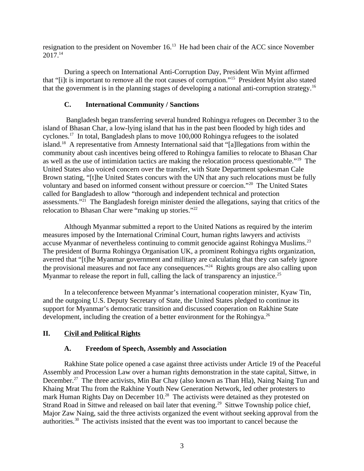resignation to the president on November 16.<sup>13</sup> He had been chair of the ACC since November 2017.<sup>14</sup>

During a speech on International Anti-Corruption Day, President Win Myint affirmed that "[i]t is important to remove all the root causes of corruption."<sup>15</sup> President Myint also stated that the government is in the planning stages of developing a national anti-corruption strategy.<sup>16</sup>

# <span id="page-2-2"></span>**C. International Community / Sanctions**

Bangladesh began transferring several hundred Rohingya refugees on December 3 to the island of Bhasan Char, a low-lying island that has in the past been flooded by high tides and cyclones.<sup>17</sup> In total, Bangladesh plans to move 100,000 Rohingya refugees to the isolated island.<sup>18</sup> A representative from Amnesty International said that "[a]llegations from within the community about cash incentives being offered to Rohingya families to relocate to Bhasan Char as well as the use of intimidation tactics are making the relocation process questionable."<sup>19</sup> The United States also voiced concern over the transfer, with State Department spokesman Cale Brown stating, "[t]he United States concurs with the UN that any such relocations must be fully voluntary and based on informed consent without pressure or coercion."<sup>20</sup> The United States called for Bangladesh to allow "thorough and independent technical and protection assessments."<sup>21</sup> The Bangladesh foreign minister denied the allegations, saying that critics of the relocation to Bhasan Char were "making up stories."<sup>22</sup>

Although Myanmar submitted a report to the United Nations as required by the interim measures imposed by the International Criminal Court, human rights lawyers and activists accuse Myanmar of nevertheless continuing to commit genocide against Rohingya Muslims.<sup>23</sup> The president of Burma Rohingya Organisation UK, a prominent Rohingya rights organization, averred that "[t]he Myanmar government and military are calculating that they can safely ignore the provisional measures and not face any consequences."<sup>24</sup> Rights groups are also calling upon Myanmar to release the report in full, calling the lack of transparency an injustice. $^{25}$ 

In a teleconference between Myanmar's international cooperation minister, Kyaw Tin, and the outgoing U.S. Deputy Secretary of State, the United States pledged to continue its support for Myanmar's democratic transition and discussed cooperation on Rakhine State development, including the creation of a better environment for the Rohingya.<sup>26</sup>

# **II. Civil and Political Rights**

# <span id="page-2-1"></span><span id="page-2-0"></span>**A. Freedom of Speech, Assembly and Association**

Rakhine State police opened a case against three activists under Article 19 of the Peaceful Assembly and Procession Law over a human rights demonstration in the state capital, Sittwe, in December.<sup>27</sup> The three activists, Min Bar Chay (also known as Than Hla), Naing Naing Tun and Khaing Mrat Thu from the Rakhine Youth New Generation Network, led other protesters to mark Human Rights Day on December 10.<sup>28</sup> The activists were detained as they protested on Strand Road in Sittwe and released on bail later that evening.<sup>29</sup> Sittwe Township police chief, Major Zaw Naing, said the three activists organized the event without seeking approval from the authorities.<sup>30</sup> The activists insisted that the event was too important to cancel because the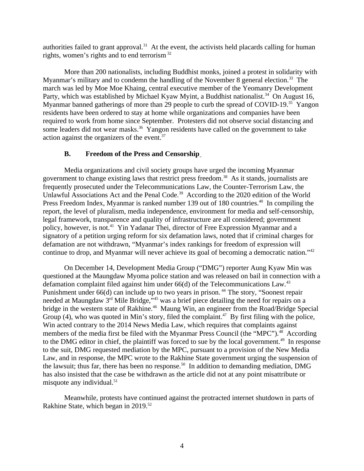authorities failed to grant approval.<sup>31</sup> At the event, the activists held placards calling for human rights, women's rights and to end terrorism  $32$ 

More than 200 nationalists, including Buddhist monks, joined a protest in solidarity with Myanmar's military and to condemn the handling of the November 8 general election.<sup>33</sup> The march was led by Moe Moe Khaing, central executive member of the Yeomanry Development Party, which was established by Michael Kyaw Myint, a Buddhist nationalist.<sup>34</sup> On August 16, Myanmar banned gatherings of more than 29 people to curb the spread of COVID-19.<sup>35</sup> Yangon residents have been ordered to stay at home while organizations and companies have been required to work from home since September. Protesters did not observe social distancing and some leaders did not wear masks.<sup>36</sup> Yangon residents have called on the government to take action against the organizers of the event.<sup>37</sup>

### <span id="page-3-0"></span>**B. Freedom of the Press and Censorship**

Media organizations and civil society groups have urged the incoming Myanmar government to change existing laws that restrict press freedom.<sup>38</sup> As it stands, journalists are frequently prosecuted under the Telecommunications Law, the Counter-Terrorism Law, the Unlawful Associations Act and the Penal Code.<sup>39</sup> According to the 2020 edition of the World Press Freedom Index, Myanmar is ranked number 139 out of 180 countries.<sup>40</sup> In compiling the report, the level of pluralism, media independence, environment for media and self-censorship, legal framework, transparence and quality of infrastructure are all considered; government policy, however, is not.<sup>41</sup> Yin Yadanar Thei, director of Free Expression Myanmar and a signatory of a petition urging reform for six defamation laws, noted that if criminal charges for defamation are not withdrawn, "Myanmar's index rankings for freedom of expression will continue to drop, and Myanmar will never achieve its goal of becoming a democratic nation."<sup>42</sup>

On December 14, Development Media Group ("DMG") reporter Aung Kyaw Min was questioned at the Maungdaw Myoma police station and was released on bail in connection with a defamation complaint filed against him under  $66(d)$  of the Telecommunications Law.<sup>43</sup> Punishment under 66(d) can include up to two years in prison.<sup>44</sup> The story, "Soonest repair needed at Maungdaw 3<sup>rd</sup> Mile Bridge,"<sup>45</sup> was a brief piece detailing the need for repairs on a bridge in the western state of Rakhine.<sup>46</sup> Maung Win, an engineer from the Road/Bridge Special Group (4), who was quoted in Min's story, filed the complaint.<sup>47</sup> By first filing with the police, Win acted contrary to the 2014 News Media Law, which requires that complaints against members of the media first be filed with the Myanmar Press Council (the "MPC").<sup>48</sup> According to the DMG editor in chief, the plaintiff was forced to sue by the local government.<sup>49</sup> In response to the suit, DMG requested mediation by the MPC, pursuant to a provision of the New Media Law, and in response, the MPC wrote to the Rakhine State government urging the suspension of the lawsuit; thus far, there has been no response.<sup>50</sup> In addition to demanding mediation, DMG has also insisted that the case be withdrawn as the article did not at any point misattribute or misquote any individual.<sup>51</sup>

Meanwhile, protests have continued against the protracted internet shutdown in parts of Rakhine State, which began in 2019.<sup>52</sup>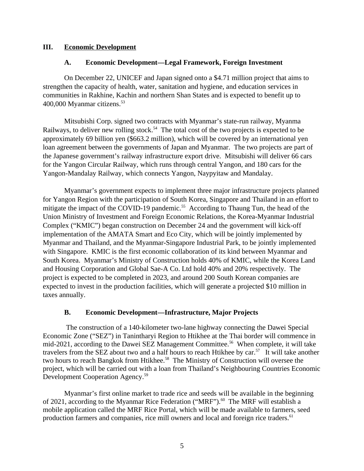#### **III. Economic Development**

### <span id="page-4-2"></span><span id="page-4-1"></span>**A. Economic Development—Legal Framework, Foreign Investment**

On December 22, UNICEF and Japan signed onto a \$4.71 million project that aims to strengthen the capacity of health, water, sanitation and hygiene, and education services in communities in Rakhine, Kachin and northern Shan States and is expected to benefit up to 400,000 Myanmar citizens.<sup>53</sup>

Mitsubishi Corp. signed two contracts with Myanmar's state-run railway, Myanma Railways, to deliver new rolling stock.<sup>54</sup> The total cost of the two projects is expected to be approximately 69 billion yen (\$663.2 million), which will be covered by an international yen loan agreement between the governments of Japan and Myanmar. The two projects are part of the Japanese government's railway infrastructure export drive. Mitsubishi will deliver 66 cars for the Yangon Circular Railway, which runs through central Yangon, and 180 cars for the Yangon-Mandalay Railway, which connects Yangon, Naypyitaw and Mandalay.

Myanmar's government expects to implement three major infrastructure projects planned for Yangon Region with the participation of South Korea, Singapore and Thailand in an effort to mitigate the impact of the COVID-19 pandemic.<sup>55</sup> According to Thaung Tun, the head of the Union Ministry of Investment and Foreign Economic Relations, the Korea-Myanmar Industrial Complex ("KMIC") began construction on December 24 and the government will kick-off implementation of the AMATA Smart and Eco City, which will be jointly implemented by Myanmar and Thailand, and the Myanmar-Singapore Industrial Park, to be jointly implemented with Singapore. KMIC is the first economic collaboration of its kind between Myanmar and South Korea. Myanmar's Ministry of Construction holds 40% of KMIC, while the Korea Land and Housing Corporation and Global Sae-A Co. Ltd hold 40% and 20% respectively. The project is expected to be completed in 2023, and around 200 South Korean companies are expected to invest in the production facilities, which will generate a projected \$10 million in taxes annually.

# <span id="page-4-0"></span>**B. Economic Development—Infrastructure, Major Projects**

The construction of a 140-kilometer two-lane highway connecting the Dawei Special Economic Zone ("SEZ") in Tanintharyi Region to Htikhee at the Thai border will commence in mid-2021, according to the Dawei SEZ Management Committee.<sup>56</sup> When complete, it will take travelers from the SEZ about two and a half hours to reach Htikhee by car.<sup>57</sup> It will take another two hours to reach Bangkok from Htikhee.<sup>58</sup> The Ministry of Construction will oversee the project, which will be carried out with a loan from Thailand's Neighbouring Countries Economic Development Cooperation Agency.<sup>59</sup>

Myanmar's first online market to trade rice and seeds will be available in the beginning of 2021, according to the Myanmar Rice Federation ("MRF").<sup>60</sup> The MRF will establish a mobile application called the MRF Rice Portal, which will be made available to farmers, seed production farmers and companies, rice mill owners and local and foreign rice traders.<sup>61</sup>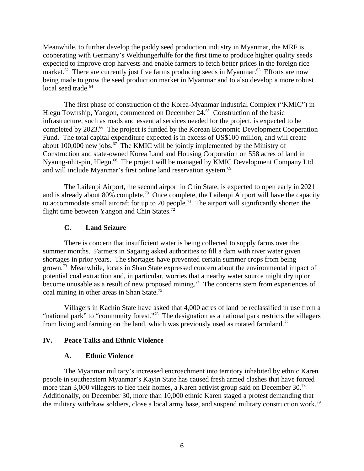Meanwhile, to further develop the paddy seed production industry in Myanmar, the MRF is cooperating with Germany's Welthungerhilfe for the first time to produce higher quality seeds expected to improve crop harvests and enable farmers to fetch better prices in the foreign rice market. $62$  There are currently just five farms producing seeds in Myanmar. $63$  Efforts are now being made to grow the seed production market in Myanmar and to also develop a more robust local seed trade.<sup>64</sup>

The first phase of construction of the Korea-Myanmar Industrial Complex ("KMIC") in Hlegu Township, Yangon, commenced on December 24.<sup>65</sup> Construction of the basic infrastructure, such as roads and essential services needed for the project, is expected to be completed by 2023.<sup>66</sup> The project is funded by the Korean Economic Development Cooperation Fund. The total capital expenditure expected is in excess of US\$100 million, and will create about 100,000 new jobs. $^{67}$  The KMIC will be jointly implemented by the Ministry of Construction and state-owned Korea Land and Housing Corporation on 558 acres of land in Nyaung-nhit-pin, Hlegu.<sup>68</sup> The project will be managed by KMIC Development Company Ltd and will include Myanmar's first online land reservation system.<sup>69</sup>

The Lailenpi Airport, the second airport in Chin State, is expected to open early in 2021 and is already about 80% complete.<sup>70</sup> Once complete, the Lailenpi Airport will have the capacity to accommodate small aircraft for up to 20 people.<sup>71</sup> The airport will significantly shorten the flight time between Yangon and Chin States.<sup>72</sup>

### <span id="page-5-2"></span>**C. Land Seizure**

There is concern that insufficient water is being collected to supply farms over the summer months. Farmers in Sagaing asked authorities to fill a dam with river water given shortages in prior years. The shortages have prevented certain summer crops from being grown.<sup>73</sup> Meanwhile, locals in Shan State expressed concern about the environmental impact of potential coal extraction and, in particular, worries that a nearby water source might dry up or become unusable as a result of new proposed mining.<sup>74</sup> The concerns stem from experiences of coal mining in other areas in Shan State.<sup>75</sup>

Villagers in Kachin State have asked that 4,000 acres of land be reclassified in use from a "national park" to "community forest."<sup>76</sup> The designation as a national park restricts the villagers from living and farming on the land, which was previously used as rotated farmland.<sup>77</sup>

# **IV. Peace Talks and Ethnic Violence**

#### <span id="page-5-1"></span><span id="page-5-0"></span>**A. Ethnic Violence**

The Myanmar military's increased encroachment into territory inhabited by ethnic Karen people in southeastern Myanmar's Kayin State has caused fresh armed clashes that have forced more than 3,000 villagers to flee their homes, a Karen activist group said on December 30.<sup>78</sup> Additionally, on December 30, more than 10,000 ethnic Karen staged a protest demanding that the military withdraw soldiers, close a local army base, and suspend military construction work.<sup>79</sup>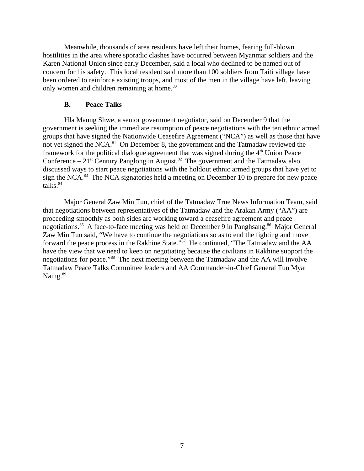Meanwhile, thousands of area residents have left their homes, fearing full-blown hostilities in the area where sporadic clashes have occurred between Myanmar soldiers and the Karen National Union since early December, said a local who declined to be named out of concern for his safety. This local resident said more than 100 soldiers from Taiti village have been ordered to reinforce existing troops, and most of the men in the village have left, leaving only women and children remaining at home.<sup>80</sup>

#### <span id="page-6-0"></span>**B. Peace Talks**

Hla Maung Shwe, a senior government negotiator, said on December 9 that the government is seeking the immediate resumption of peace negotiations with the ten ethnic armed groups that have signed the Nationwide Ceasefire Agreement ("NCA") as well as those that have not yet signed the NCA.<sup>81</sup> On December 8, the government and the Tatmadaw reviewed the framework for the political dialogue agreement that was signed during the  $4<sup>th</sup>$  Union Peace Conference –  $21^{st}$  Century Panglong in August.<sup>82</sup> The government and the Tatmadaw also discussed ways to start peace negotiations with the holdout ethnic armed groups that have yet to sign the NCA.<sup>83</sup> The NCA signatories held a meeting on December 10 to prepare for new peace talks. $84$ 

Major General Zaw Min Tun, chief of the Tatmadaw True News Information Team, said that negotiations between representatives of the Tatmadaw and the Arakan Army ("AA") are proceeding smoothly as both sides are working toward a ceasefire agreement and peace negotiations.<sup>85</sup> A face-to-face meeting was held on December 9 in Panghsang.<sup>86</sup> Major General Zaw Min Tun said, "We have to continue the negotiations so as to end the fighting and move forward the peace process in the Rakhine State."<sup>87</sup> He continued, "The Tatmadaw and the AA have the view that we need to keep on negotiating because the civilians in Rakhine support the negotiations for peace."<sup>88</sup> The next meeting between the Tatmadaw and the AA will involve Tatmadaw Peace Talks Committee leaders and AA Commander-in-Chief General Tun Myat Naing. $89$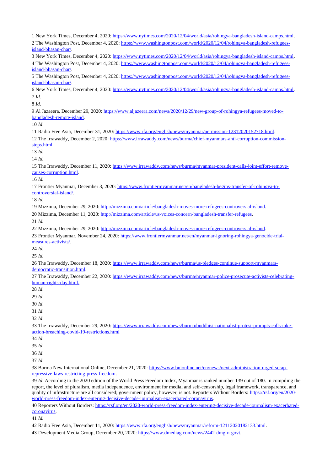New York Times, December 4, 2020: [https://www.nytimes.com/2020/12/04/world/asia/rohingya-bangladesh-island-camps.html.](https://www.nytimes.com/2020/12/04/world/asia/rohingya-bangladesh-island-camps.html) The Washington Post, December 4, 2020: [https://www.washingtonpost.com/world/2020/12/04/rohingya-bangladesh-refugees](https://www.washingtonpost.com/world/2020/12/04/rohingya-bangladesh-refugees-island-bhasan-char/)[island-bhasan-char/.](https://www.washingtonpost.com/world/2020/12/04/rohingya-bangladesh-refugees-island-bhasan-char/) New York Times, December 4, 2020: [https://www.nytimes.com/2020/12/04/world/asia/rohingya-bangladesh-island-camps.html.](https://www.nytimes.com/2020/12/04/world/asia/rohingya-bangladesh-island-camps.html) 4 The Washington Post, December 4, 2020: [https://www.washingtonpost.com/world/2020/12/04/rohingya-bangladesh-refugees](https://www.washingtonpost.com/world/2020/12/04/rohingya-bangladesh-refugees-island-bhasan-char/)[island-bhasan-char/.](https://www.washingtonpost.com/world/2020/12/04/rohingya-bangladesh-refugees-island-bhasan-char/) The Washington Post, December 4, 2020: [https://www.washingtonpost.com/world/2020/12/04/rohingya-bangladesh-refugees](https://www.washingtonpost.com/world/2020/12/04/rohingya-bangladesh-refugees-island-bhasan-char/)[island-bhasan-char/.](https://www.washingtonpost.com/world/2020/12/04/rohingya-bangladesh-refugees-island-bhasan-char/) New York Times, December 4, 2020: [https://www.nytimes.com/2020/12/04/world/asia/rohingya-bangladesh-island-camps.html.](https://www.nytimes.com/2020/12/04/world/asia/rohingya-bangladesh-island-camps.html) *Id*. *Id*. Al Jazaeera, December 29, 2020: [https://www.aljazeera.com/news/2020/12/29/new-group-of-rohingya-refugees-moved-to](https://www.aljazeera.com/news/2020/12/29/new-group-of-rohingya-refugees-moved-to-bangladesh-remote-island)[bangladesh-remote-island.](https://www.aljazeera.com/news/2020/12/29/new-group-of-rohingya-refugees-moved-to-bangladesh-remote-island) *Id*. Radio Free Asia, December 31, 2020: [https://www.rfa.org/english/news/myanmar/permission-12312020152718.html.](https://www.rfa.org/english/news/myanmar/permission-12312020152718.html) The Irrawaddy, December 2, 2020: [https://www.irrawaddy.com/news/burma/chief-myanmars-anti-corruption-commission](https://www.irrawaddy.com/news/burma/chief-myanmars-anti-corruption-commission-steps.html)[steps.html.](https://www.irrawaddy.com/news/burma/chief-myanmars-anti-corruption-commission-steps.html) *Id. Id.* The Irrawaddy, December 11, 2020: [https://www.irrawaddy.com/news/burma/myanmar-president-calls-joint-effort-remove](https://www.irrawaddy.com/news/burma/myanmar-president-calls-joint-effort-remove-causes-corruption.html)[causes-corruption.html.](https://www.irrawaddy.com/news/burma/myanmar-president-calls-joint-effort-remove-causes-corruption.html) *Id.* Frontier Myanmar, December 3, 2020: [https://www.frontiermyanmar.net/en/bangladesh-begins-transfer-of-rohingya-to](https://www.frontiermyanmar.net/en/bangladesh-begins-transfer-of-rohingya-to-controversial-island/)[controversial-island/.](https://www.frontiermyanmar.net/en/bangladesh-begins-transfer-of-rohingya-to-controversial-island/) *Id.* Mizzima, December 29, 2020: [http://mizzima.com/article/bangladesh-moves-more-refugees-controversial-island.](http://mizzima.com/article/bangladesh-moves-more-refugees-controversial-island) Mizzima, December 11, 2020: [http://mizzima.com/article/us-voices-concern-bangladesh-transfer-refugees.](http://mizzima.com/article/us-voices-concern-bangladesh-transfer-refugees) *Id.* Mizzima, December 29, 2020: [http://mizzima.com/article/bangladesh-moves-more-refugees-controversial-island.](http://mizzima.com/article/bangladesh-moves-more-refugees-controversial-island) 23 Frontier Myanmar, November 24, 2020: [https://www.frontiermyanmar.net/en/myanmar-ignoring-rohingya-genocide-trial](https://www.frontiermyanmar.net/en/myanmar-ignoring-rohingya-genocide-trial-measures-activists/)[measures-activists/.](https://www.frontiermyanmar.net/en/myanmar-ignoring-rohingya-genocide-trial-measures-activists/) *Id. Id.* The Irrawaddy, December 18, 2020: [https://www.irrawaddy.com/news/burma/us-pledges-continue-support-myanmars](https://www.irrawaddy.com/news/burma/us-pledges-continue-support-myanmars-democratic-transition.html)[democratic-transition.html.](https://www.irrawaddy.com/news/burma/us-pledges-continue-support-myanmars-democratic-transition.html) 27 The Irrawaddy, December 22, 2020: [https://www.irrawaddy.com/news/burma/myanmar-police-prosecute-activists-celebrating](https://www.irrawaddy.com/news/burma/myanmar-police-prosecute-activists-celebrating-human-rights-day.html)  [human-rights-day.html.](https://www.irrawaddy.com/news/burma/myanmar-police-prosecute-activists-celebrating-human-rights-day.html) *Id*. *Id*. *Id*. *Id*. *Id*. The Irrawaddy, December 29, 2020: [https://www.irrawaddy.com/news/burma/buddhist-nationalist-protest-prompts-calls-take](https://www.irrawaddy.com/news/burma/buddhist-nationalist-protest-prompts-calls-take-action-breaching-covid-19-restrictions.html)[action-breaching-covid-19-restrictions.html](https://www.irrawaddy.com/news/burma/buddhist-nationalist-protest-prompts-calls-take-action-breaching-covid-19-restrictions.html) *Id*. *Id*. *Id*. *Id*. Burma New International Online, December 21, 2020: [https://www.bnionline.net/en/news/next-administration-urged-scrap](https://www.bnionline.net/en/news/next-administration-urged-scrap-repressive-laws-restricting-press-freedom)[repressive-laws-restricting-press-freedom.](https://www.bnionline.net/en/news/next-administration-urged-scrap-repressive-laws-restricting-press-freedom) *Id*. According to the 2020 edition of the World Press Freedom Index, Myanmar is ranked number 139 out of 180. In compiling the report, the level of pluralism, media independence, environment for medial and self-censorship, legal framework, transparence, and quality of infrastructure are all considered; government policy, however, is not. Reporters Without Borders: [https://rsf.org/en/2020](https://rsf.org/en/2020-world-press-freedom-index-entering-decisive-decade-journalism-exacerbated-coronavirus) [world-press-freedom-index-entering-decisive-decade-journalism-exacerbated-coronavirus.](https://rsf.org/en/2020-world-press-freedom-index-entering-decisive-decade-journalism-exacerbated-coronavirus) Reporters Without Borders: [https://rsf.org/en/2020-world-press-freedom-index-entering-decisive-decade-journalism-exacerbated-](https://rsf.org/en/2020-world-press-freedom-index-entering-decisive-decade-journalism-exacerbated-coronavirus)

[coronavirus.](https://rsf.org/en/2020-world-press-freedom-index-entering-decisive-decade-journalism-exacerbated-coronavirus)

*Id.*

42 Radio Free Asia, December 11, 2020: [https://www.rfa.org/english/news/myanmar/reform-12112020182133.html.](https://www.rfa.org/english/news/myanmar/reform-12112020182133.html)

Development Media Group, December 20, 2020: [https://www.dmediag.com/news/2442-dmg-n-govt.](https://www.dmediag.com/news/2442-dmg-n-govt)